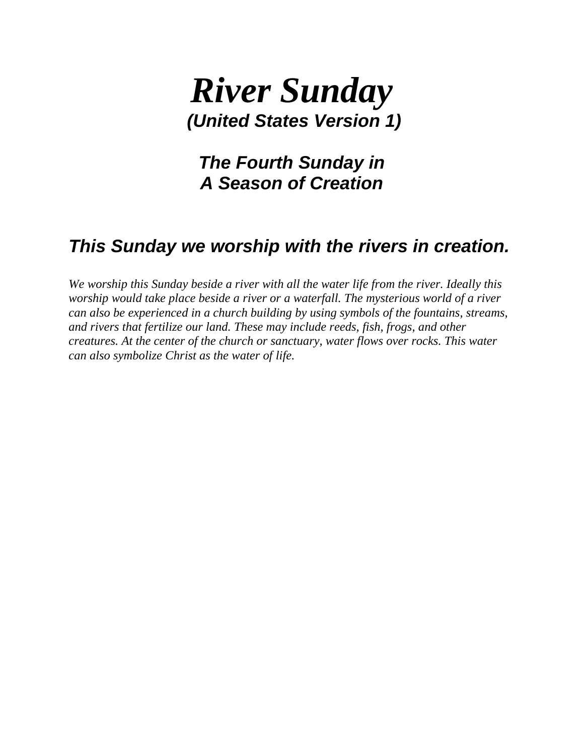## *River Sunday (United States Version 1)*

*The Fourth Sunday in A Season of Creation*

## *This Sunday we worship with the rivers in creation.*

*We worship this Sunday beside a river with all the water life from the river. Ideally this worship would take place beside a river or a waterfall. The mysterious world of a river can also be experienced in a church building by using symbols of the fountains, streams, and rivers that fertilize our land. These may include reeds, fish, frogs, and other creatures. At the center of the church or sanctuary, water flows over rocks. This water can also symbolize Christ as the water of life.*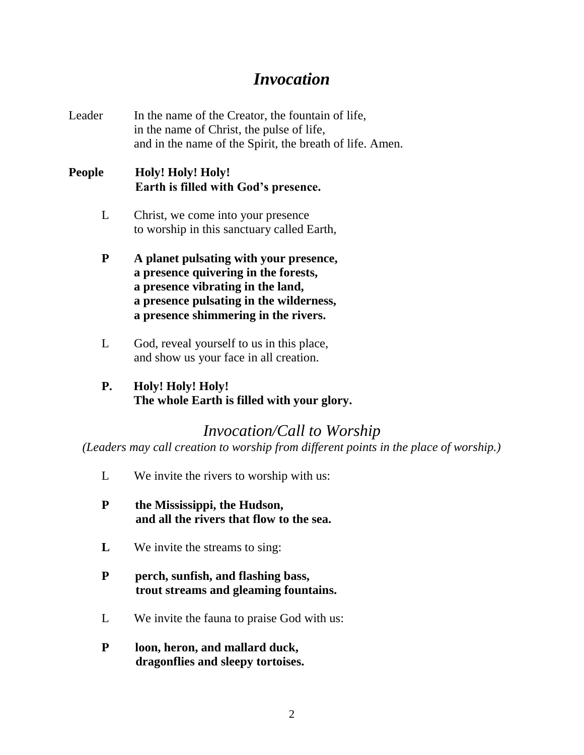### *Invocation*

Leader In the name of the Creator, the fountain of life, in the name of Christ, the pulse of life, and in the name of the Spirit, the breath of life. Amen.

### **People Holy! Holy! Holy! Earth is filled with God's presence.**

- L Christ, we come into your presence to worship in this sanctuary called Earth,
- **P A planet pulsating with your presence, a presence quivering in the forests, a presence vibrating in the land, a presence pulsating in the wilderness, a presence shimmering in the rivers.**
- L God, reveal yourself to us in this place, and show us your face in all creation.
- **P. Holy! Holy! Holy! The whole Earth is filled with your glory.**

### *Invocation/Call to Worship*

*(Leaders may call creation to worship from different points in the place of worship.)*

- L We invite the rivers to worship with us:
- **P the Mississippi, the Hudson, and all the rivers that flow to the sea.**
- **L** We invite the streams to sing:

### **P perch, sunfish, and flashing bass, trout streams and gleaming fountains.**

- L We invite the fauna to praise God with us:
- **P loon, heron, and mallard duck, dragonflies and sleepy tortoises.**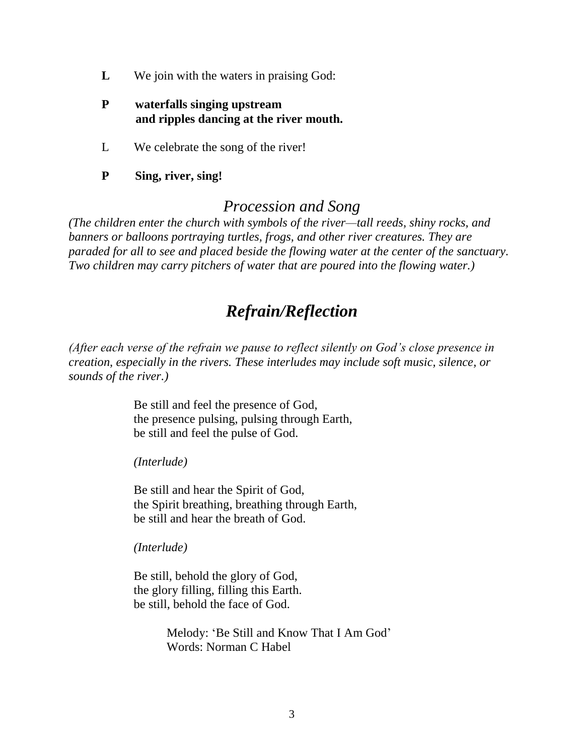- **L** We join with the waters in praising God:
- **P waterfalls singing upstream and ripples dancing at the river mouth.**
- L We celebrate the song of the river!
- **P Sing, river, sing!**

### *Procession and Song*

*(The children enter the church with symbols of the river—tall reeds, shiny rocks, and banners or balloons portraying turtles, frogs, and other river creatures. They are paraded for all to see and placed beside the flowing water at the center of the sanctuary. Two children may carry pitchers of water that are poured into the flowing water.)*

## *Refrain/Reflection*

*(After each verse of the refrain we pause to reflect silently on God's close presence in creation, especially in the rivers. These interludes may include soft music, silence, or sounds of the river.)*

> Be still and feel the presence of God, the presence pulsing, pulsing through Earth, be still and feel the pulse of God.

*(Interlude)*

Be still and hear the Spirit of God, the Spirit breathing, breathing through Earth, be still and hear the breath of God.

*(Interlude)*

Be still, behold the glory of God, the glory filling, filling this Earth. be still, behold the face of God.

> Melody: 'Be Still and Know That I Am God' Words: Norman C Habel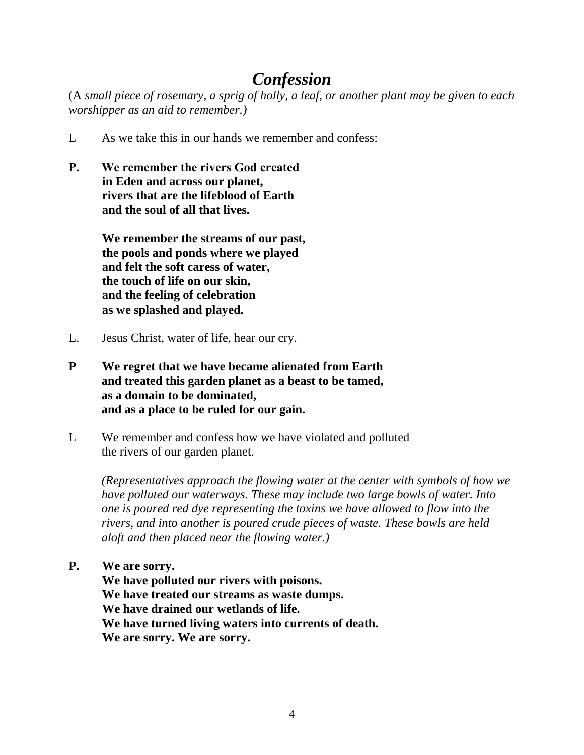## *Confession*

(A *small piece of rosemary, a sprig of holly, a leaf, or another plant may be given to each worshipper as an aid to remember.)*

- L As we take this in our hands we remember and confess:
- **P. We remember the rivers God created in Eden and across our planet, rivers that are the lifeblood of Earth and the soul of all that lives.**

**We remember the streams of our past, the pools and ponds where we played and felt the soft caress of water, the touch of life on our skin, and the feeling of celebration as we splashed and played.**

- L. Jesus Christ, water of life, hear our cry.
- **P We regret that we have became alienated from Earth and treated this garden planet as a beast to be tamed, as a domain to be dominated, and as a place to be ruled for our gain.**
- L We remember and confess how we have violated and polluted the rivers of our garden planet.

*(Representatives approach the flowing water at the center with symbols of how we have polluted our waterways. These may include two large bowls of water. Into one is poured red dye representing the toxins we have allowed to flow into the rivers, and into another is poured crude pieces of waste. These bowls are held aloft and then placed near the flowing water.)*

**P. We are sorry.**

**We have polluted our rivers with poisons. We have treated our streams as waste dumps. We have drained our wetlands of life. We have turned living waters into currents of death. We are sorry. We are sorry.**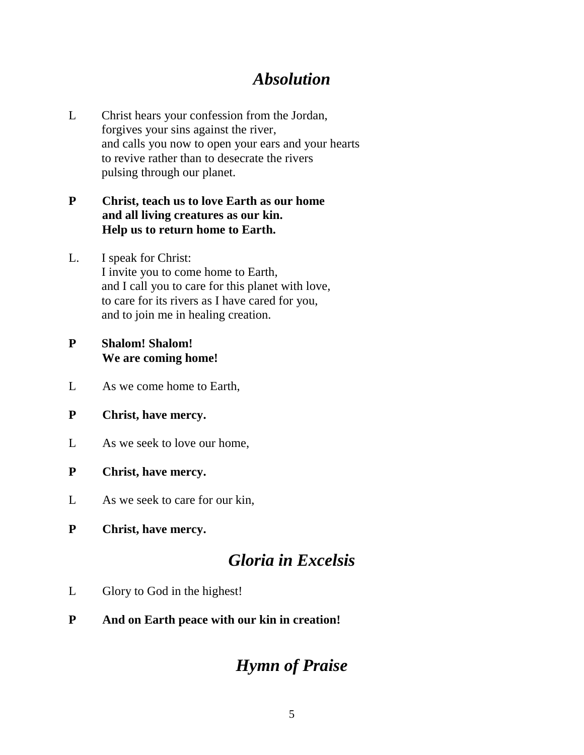## *Absolution*

L Christ hears your confession from the Jordan, forgives your sins against the river, and calls you now to open your ears and your hearts to revive rather than to desecrate the rivers pulsing through our planet.

### **P Christ, teach us to love Earth as our home and all living creatures as our kin. Help us to return home to Earth.**

L. I speak for Christ: I invite you to come home to Earth, and I call you to care for this planet with love, to care for its rivers as I have cared for you, and to join me in healing creation.

### **P Shalom! Shalom! We are coming home!**

- L As we come home to Earth,
- **P Christ, have mercy.**
- L As we seek to love our home,
- **P Christ, have mercy.**
- L As we seek to care for our kin,
- **P Christ, have mercy.**

## *Gloria in Excelsis*

- L Glory to God in the highest!
- **P And on Earth peace with our kin in creation!**

## *Hymn of Praise*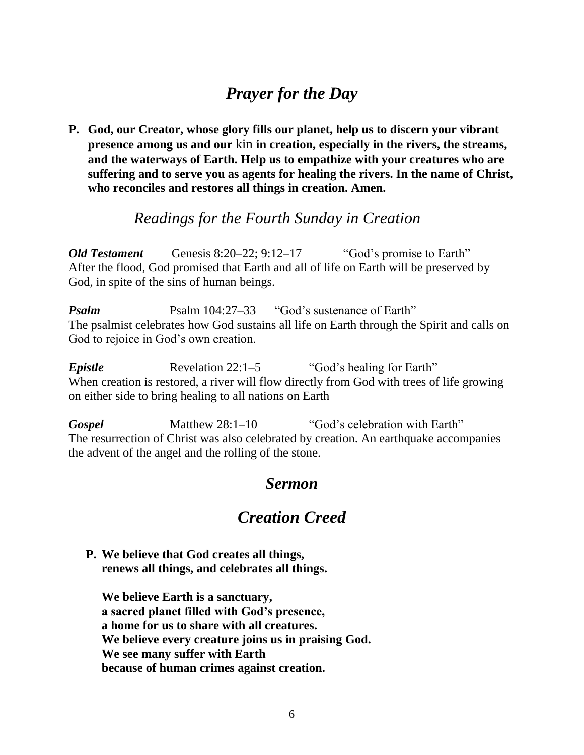## *Prayer for the Day*

**P. God, our Creator, whose glory fills our planet, help us to discern your vibrant presence among us and our** kin **in creation, especially in the rivers, the streams, and the waterways of Earth. Help us to empathize with your creatures who are suffering and to serve you as agents for healing the rivers. In the name of Christ, who reconciles and restores all things in creation. Amen.**

### *Readings for the Fourth Sunday in Creation*

*Old Testament* Genesis 8:20–22; 9:12–17 "God's promise to Earth" After the flood, God promised that Earth and all of life on Earth will be preserved by God, in spite of the sins of human beings.

*Psalm* Psalm 104:27–33 "God's sustenance of Earth" The psalmist celebrates how God sustains all life on Earth through the Spirit and calls on God to rejoice in God's own creation.

*Epistle* Revelation 22:1–5 "God's healing for Earth" When creation is restored, a river will flow directly from God with trees of life growing on either side to bring healing to all nations on Earth

Gospel Matthew 28:1–10 "God's celebration with Earth" The resurrection of Christ was also celebrated by creation. An earthquake accompanies the advent of the angel and the rolling of the stone.

### *Sermon*

## *Creation Creed*

**P. We believe that God creates all things, renews all things, and celebrates all things.**

**We believe Earth is a sanctuary, a sacred planet filled with God's presence, a home for us to share with all creatures. We believe every creature joins us in praising God. We see many suffer with Earth because of human crimes against creation.**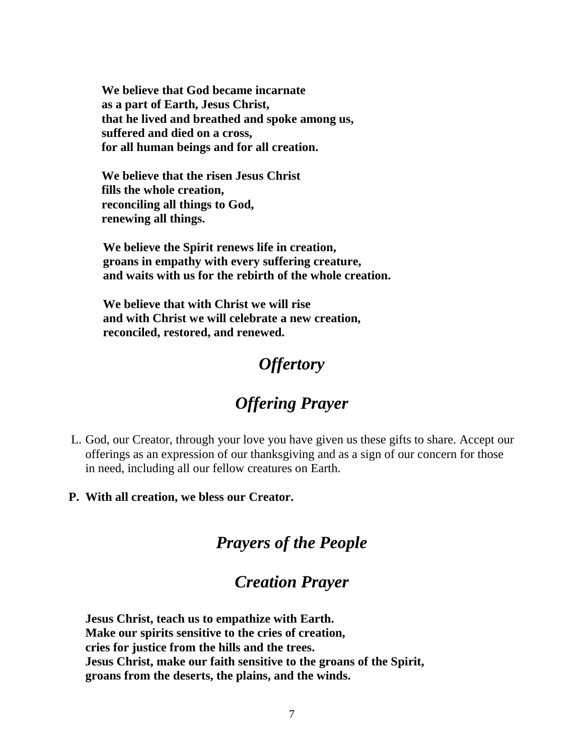**We believe that God became incarnate as a part of Earth, Jesus Christ, that he lived and breathed and spoke among us, suffered and died on a cross, for all human beings and for all creation.**

**We believe that the risen Jesus Christ fills the whole creation, reconciling all things to God, renewing all things.**

**We believe the Spirit renews life in creation, groans in empathy with every suffering creature, and waits with us for the rebirth of the whole creation.**

**We believe that with Christ we will rise and with Christ we will celebrate a new creation, reconciled, restored, and renewed.**

## *Offertory*

# *Offering Prayer*

- L. God, our Creator, through your love you have given us these gifts to share. Accept our offerings as an expression of our thanksgiving and as a sign of our concern for those in need, including all our fellow creatures on Earth.
- **P. With all creation, we bless our Creator.**

### *Prayers of the People*

### *Creation Prayer*

**Jesus Christ, teach us to empathize with Earth. Make our spirits sensitive to the cries of creation, cries for justice from the hills and the trees. Jesus Christ, make our faith sensitive to the groans of the Spirit, groans from the deserts, the plains, and the winds.**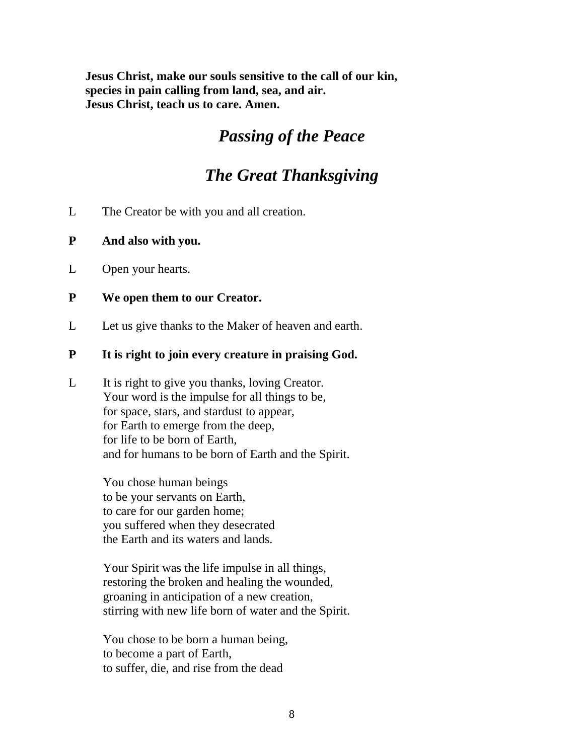**Jesus Christ, make our souls sensitive to the call of our kin, species in pain calling from land, sea, and air. Jesus Christ, teach us to care. Amen.**

## *Passing of the Peace*

## *The Great Thanksgiving*

- L The Creator be with you and all creation.
- **P And also with you.**
- L Open your hearts.
- **P We open them to our Creator.**
- L Let us give thanks to the Maker of heaven and earth.

#### **P It is right to join every creature in praising God.**

L It is right to give you thanks, loving Creator. Your word is the impulse for all things to be, for space, stars, and stardust to appear, for Earth to emerge from the deep, for life to be born of Earth, and for humans to be born of Earth and the Spirit.

> You chose human beings to be your servants on Earth, to care for our garden home; you suffered when they desecrated the Earth and its waters and lands.

Your Spirit was the life impulse in all things, restoring the broken and healing the wounded, groaning in anticipation of a new creation, stirring with new life born of water and the Spirit.

You chose to be born a human being, to become a part of Earth, to suffer, die, and rise from the dead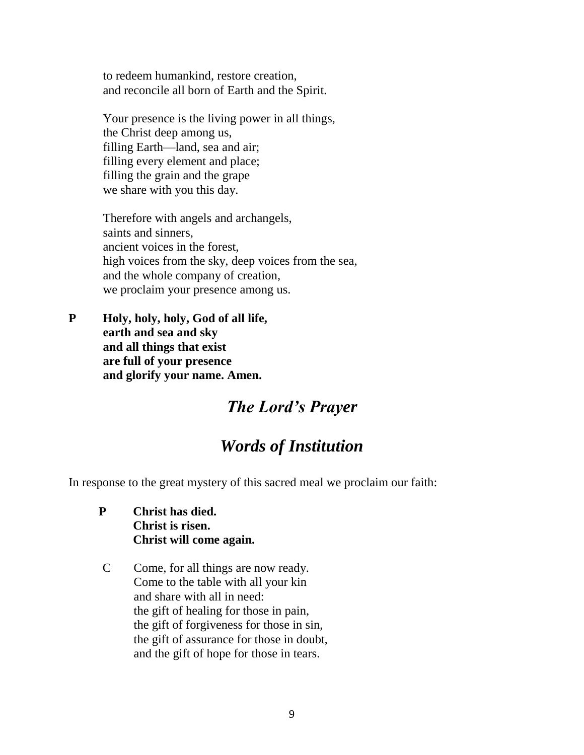to redeem humankind, restore creation, and reconcile all born of Earth and the Spirit.

Your presence is the living power in all things, the Christ deep among us, filling Earth—land, sea and air; filling every element and place; filling the grain and the grape we share with you this day.

Therefore with angels and archangels, saints and sinners, ancient voices in the forest, high voices from the sky, deep voices from the sea, and the whole company of creation, we proclaim your presence among us.

**P Holy, holy, holy, God of all life, earth and sea and sky and all things that exist are full of your presence and glorify your name. Amen.**

### *The Lord's Prayer*

## *Words of Institution*

In response to the great mystery of this sacred meal we proclaim our faith:

- **P Christ has died. Christ is risen. Christ will come again.**
- C Come, for all things are now ready. Come to the table with all your kin and share with all in need: the gift of healing for those in pain, the gift of forgiveness for those in sin, the gift of assurance for those in doubt, and the gift of hope for those in tears.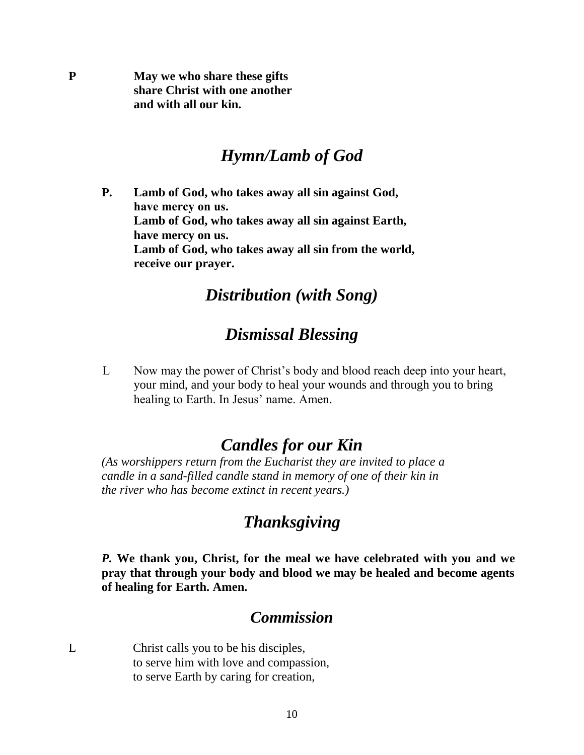**P May we who share these gifts share Christ with one another and with all our kin.**

### *Hymn/Lamb of God*

**P. Lamb of God, who takes away all sin against God, have mercy on us. Lamb of God, who takes away all sin against Earth, have mercy on us. Lamb of God, who takes away all sin from the world, receive our prayer.**

### *Distribution (with Song)*

### *Dismissal Blessing*

L Now may the power of Christ's body and blood reach deep into your heart, your mind, and your body to heal your wounds and through you to bring healing to Earth. In Jesus' name. Amen.

### *Candles for our Kin*

*(As worshippers return from the Eucharist they are invited to place a candle in a sand-filled candle stand in memory of one of their kin in the river who has become extinct in recent years.)*

### *Thanksgiving*

*P.* **We thank you, Christ, for the meal we have celebrated with you and we pray that through your body and blood we may be healed and become agents of healing for Earth. Amen.**

### *Commission*

L Christ calls you to be his disciples, to serve him with love and compassion, to serve Earth by caring for creation,